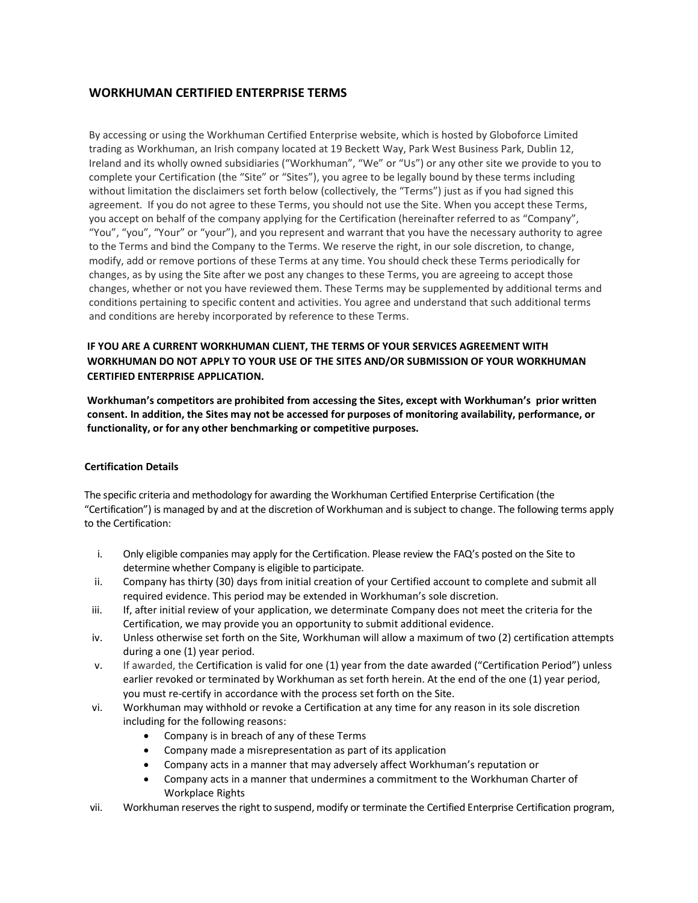# **WORKHUMAN CERTIFIED ENTERPRISE TERMS**

By accessing or using the Workhuman Certified Enterprise website, which is hosted by Globoforce Limited trading as Workhuman, an Irish company located at 19 Beckett Way, Park West Business Park, Dublin 12, Ireland and its wholly owned subsidiaries ("Workhuman", "We" or "Us") or any other site we provide to you to complete your Certification (the "Site" or "Sites"), you agree to be legally bound by these terms including without limitation the disclaimers set forth below (collectively, the "Terms") just as if you had signed this agreement. If you do not agree to these Terms, you should not use the Site. When you accept these Terms, you accept on behalf of the company applying for the Certification (hereinafter referred to as "Company", "You", "you", "Your" or "your"), and you represent and warrant that you have the necessary authority to agree to the Terms and bind the Company to the Terms. We reserve the right, in our sole discretion, to change, modify, add or remove portions of these Terms at any time. You should check these Terms periodically for changes, as by using the Site after we post any changes to these Terms, you are agreeing to accept those changes, whether or not you have reviewed them. These Terms may be supplemented by additional terms and conditions pertaining to specific content and activities. You agree and understand that such additional terms and conditions are hereby incorporated by reference to these Terms.

# **IF YOU ARE A CURRENT WORKHUMAN CLIENT, THE TERMS OF YOUR SERVICES AGREEMENT WITH WORKHUMAN DO NOT APPLY TO YOUR USE OF THE SITES AND/OR SUBMISSION OF YOUR WORKHUMAN CERTIFIED ENTERPRISE APPLICATION.**

**Workhuman's competitors are prohibited from accessing the Sites, except with Workhuman's prior written consent. In addition, the Sites may not be accessed for purposes of monitoring availability, performance, or functionality, or for any other benchmarking or competitive purposes.**

## **Certification Details**

The specific criteria and methodology for awarding the Workhuman Certified Enterprise Certification (the "Certification") is managed by and at the discretion of Workhuman and is subject to change. The following terms apply to the Certification:

- i. Only eligible companies may apply for the Certification. Please review the FAQ's posted on the Site to determine whether Company is eligible to participate.
- ii. Company has thirty (30) days from initial creation of your Certified account to complete and submit all required evidence. This period may be extended in Workhuman's sole discretion.
- iii. If, after initial review of your application, we determinate Company does not meet the criteria for the Certification, we may provide you an opportunity to submit additional evidence.
- iv. Unless otherwise set forth on the Site, Workhuman will allow a maximum of two (2) certification attempts during a one (1) year period.
- v. If awarded, the Certification is valid for one (1) year from the date awarded ("Certification Period") unless earlier revoked or terminated by Workhuman as set forth herein. At the end of the one (1) year period, you must re-certify in accordance with the process set forth on the Site.
- vi. Workhuman may withhold or revoke a Certification at any time for any reason in its sole discretion including for the following reasons:
	- Company is in breach of any of these Terms
	- Company made a misrepresentation as part of its application
	- Company acts in a manner that may adversely affect Workhuman's reputation or
	- Company acts in a manner that undermines a commitment to the Workhuman Charter of Workplace Rights
- vii. Workhuman reserves the right to suspend, modify or terminate the Certified Enterprise Certification program,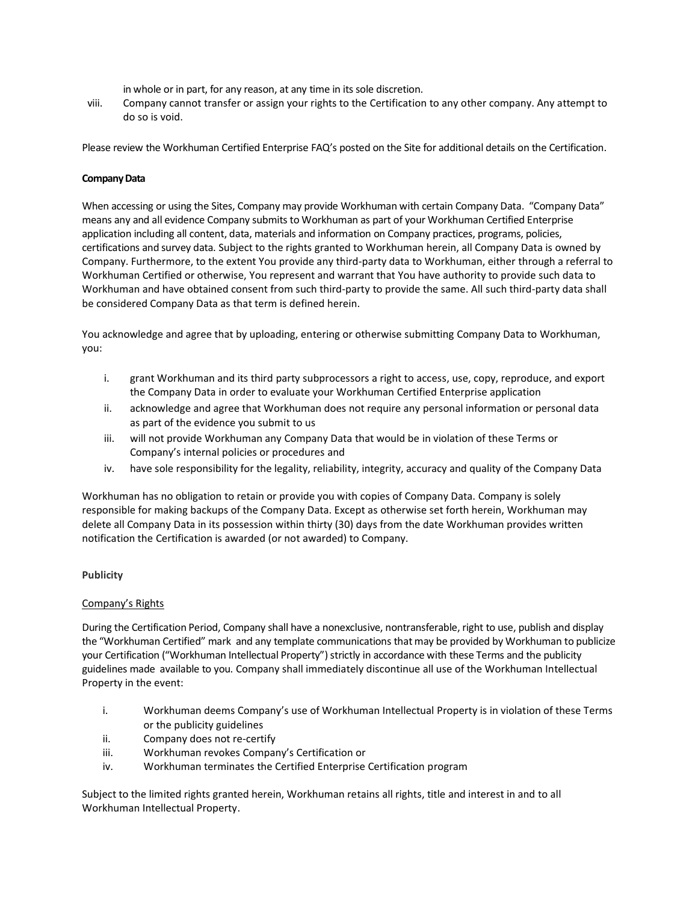in whole or in part, for any reason, at any time in its sole discretion.

viii. Company cannot transfer or assign your rights to the Certification to any other company. Any attempt to do so is void.

Please review the Workhuman Certified Enterprise FAQ's posted on the Site for additional details on the Certification.

## **Company Data**

When accessing or using the Sites, Company may provide Workhuman with certain Company Data. "Company Data" means any and all evidence Company submits to Workhuman as part of your Workhuman Certified Enterprise application including all content, data, materials and information on Company practices, programs, policies, certifications and survey data. Subject to the rights granted to Workhuman herein, all Company Data is owned by Company. Furthermore, to the extent You provide any third-party data to Workhuman, either through a referral to Workhuman Certified or otherwise, You represent and warrant that You have authority to provide such data to Workhuman and have obtained consent from such third-party to provide the same. All such third-party data shall be considered Company Data as that term is defined herein.

You acknowledge and agree that by uploading, entering or otherwise submitting Company Data to Workhuman, you:

- i. grant Workhuman and its third party subprocessors a right to access, use, copy, reproduce, and export the Company Data in order to evaluate your Workhuman Certified Enterprise application
- ii. acknowledge and agree that Workhuman does not require any personal information or personal data as part of the evidence you submit to us
- iii. will not provide Workhuman any Company Data that would be in violation of these Terms or Company's internal policies or procedures and
- iv. have sole responsibility for the legality, reliability, integrity, accuracy and quality of the Company Data

Workhuman has no obligation to retain or provide you with copies of Company Data. Company is solely responsible for making backups of the Company Data. Except as otherwise set forth herein, Workhuman may delete all Company Data in its possession within thirty (30) days from the date Workhuman provides written notification the Certification is awarded (or not awarded) to Company.

#### **Publicity**

#### Company's Rights

During the Certification Period, Company shall have a nonexclusive, nontransferable, right to use, publish and display the "Workhuman Certified" mark and any template communications that may be provided by Workhuman to publicize your Certification ("Workhuman Intellectual Property") strictly in accordance with these Terms and the publicity guidelines made available to you. Company shall immediately discontinue all use of the Workhuman Intellectual Property in the event:

- i. Workhuman deems Company's use of Workhuman Intellectual Property is in violation of these Terms or the publicity guidelines
- ii. Company does not re-certify
- iii. Workhuman revokes Company's Certification or
- iv. Workhuman terminates the Certified Enterprise Certification program

Subject to the limited rights granted herein, Workhuman retains all rights, title and interest in and to all Workhuman Intellectual Property.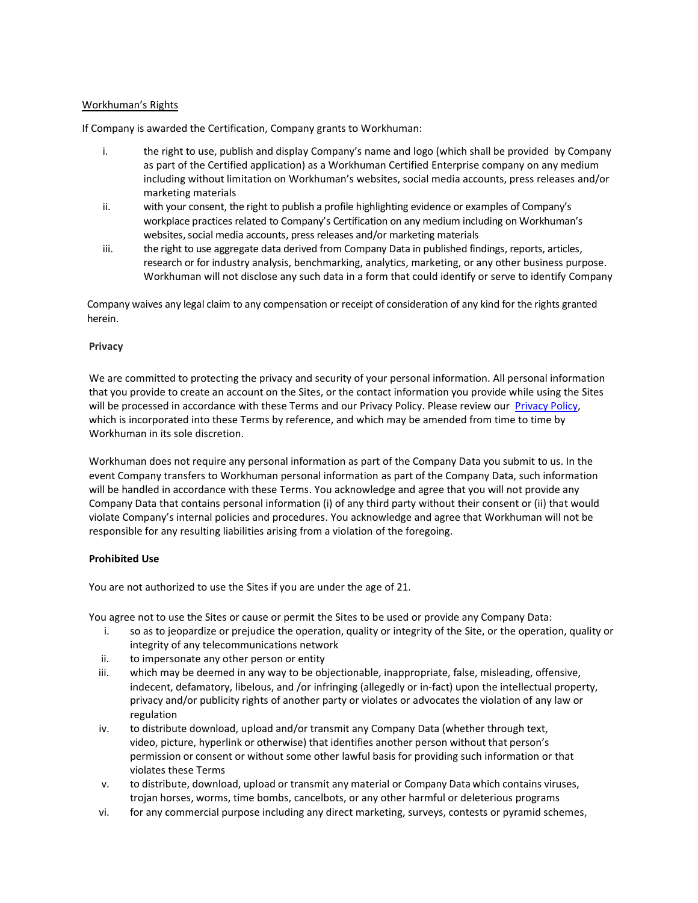## Workhuman's Rights

If Company is awarded the Certification, Company grants to Workhuman:

- i. the right to use, publish and display Company's name and logo (which shall be provided by Company as part of the Certified application) as a Workhuman Certified Enterprise company on any medium including without limitation on Workhuman's websites, social media accounts, press releases and/or marketing materials
- ii. with your consent, the right to publish a profile highlighting evidence or examples of Company's workplace practices related to Company's Certification on any medium including on Workhuman's websites, social media accounts, press releases and/or marketing materials
- iii. the right to use aggregate data derived from Company Data in published findings, reports, articles, research or for industry analysis, benchmarking, analytics, marketing, or any other business purpose. Workhuman will not disclose any such data in a form that could identify or serve to identify Company

 Company waives any legal claim to any compensation or receipt of consideration of any kind for the rights granted herein.

#### **Privacy**

We are committed to protecting the privacy and security of your personal information. All personal information that you provide to create an account on the Sites, or the contact information you provide while using the Sites will be processed in accordance with these Terms and our Privacy Policy. Please review our [Privacy Policy,](https://www.workhuman.com/privacy-policy/) which is incorporated into these Terms by reference, and which may be amended from time to time by Workhuman in its sole discretion.

Workhuman does not require any personal information as part of the Company Data you submit to us. In the event Company transfers to Workhuman personal information as part of the Company Data, such information will be handled in accordance with these Terms. You acknowledge and agree that you will not provide any Company Data that contains personal information (i) of any third party without their consent or (ii) that would violate Company's internal policies and procedures. You acknowledge and agree that Workhuman will not be responsible for any resulting liabilities arising from a violation of the foregoing.

## **Prohibited Use**

You are not authorized to use the Sites if you are under the age of 21.

You agree not to use the Sites or cause or permit the Sites to be used or provide any Company Data:

- i. so as to jeopardize or prejudice the operation, quality or integrity of the Site, or the operation, quality or integrity of any telecommunications network
- ii. to impersonate any other person or entity
- iii. which may be deemed in any way to be objectionable, inappropriate, false, misleading, offensive, indecent, defamatory, libelous, and /or infringing (allegedly or in-fact) upon the intellectual property, privacy and/or publicity rights of another party or violates or advocates the violation of any law or regulation
- iv. to distribute download, upload and/or transmit any Company Data (whether through text, video, picture, hyperlink or otherwise) that identifies another person without that person's permission or consent or without some other lawful basis for providing such information or that violates these Terms
- v. to distribute, download, upload or transmit any material or Company Data which contains viruses, trojan horses, worms, time bombs, cancelbots, or any other harmful or deleterious programs
- vi. for any commercial purpose including any direct marketing, surveys, contests or pyramid schemes,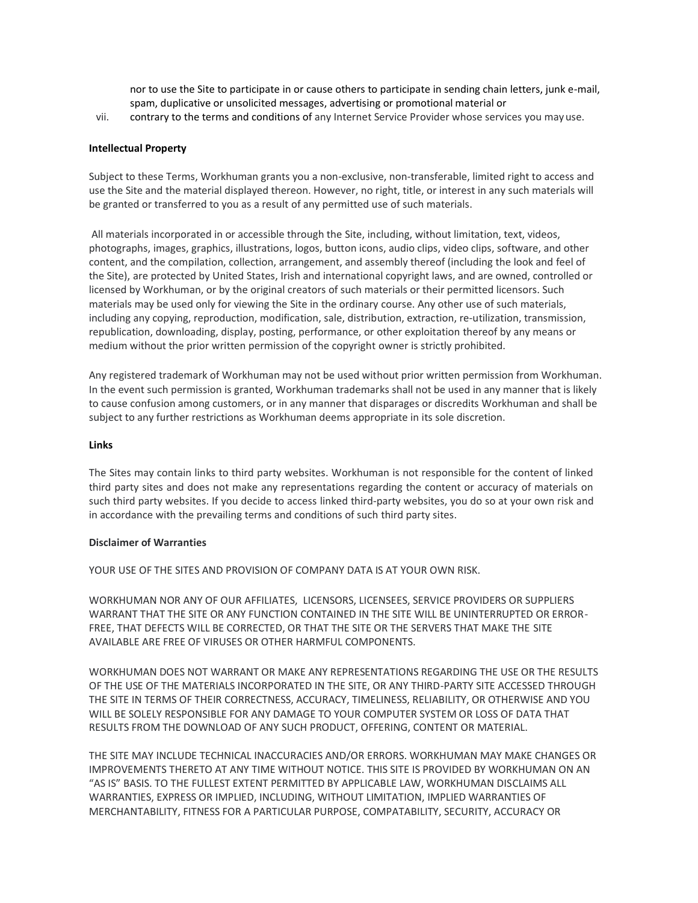nor to use the Site to participate in or cause others to participate in sending chain letters, junk e-mail, spam, duplicative or unsolicited messages, advertising or promotional material or

vii. contrary to the terms and conditions of any Internet Service Provider whose services you mayuse.

#### **Intellectual Property**

Subject to these Terms, Workhuman grants you a non-exclusive, non-transferable, limited right to access and use the Site and the material displayed thereon. However, no right, title, or interest in any such materials will be granted or transferred to you as a result of any permitted use of such materials.

All materials incorporated in or accessible through the Site, including, without limitation, text, videos, photographs, images, graphics, illustrations, logos, button icons, audio clips, video clips, software, and other content, and the compilation, collection, arrangement, and assembly thereof (including the look and feel of the Site), are protected by United States, Irish and international copyright laws, and are owned, controlled or licensed by Workhuman, or by the original creators of such materials or their permitted licensors. Such materials may be used only for viewing the Site in the ordinary course. Any other use of such materials, including any copying, reproduction, modification, sale, distribution, extraction, re-utilization, transmission, republication, downloading, display, posting, performance, or other exploitation thereof by any means or medium without the prior written permission of the copyright owner is strictly prohibited.

Any registered trademark of Workhuman may not be used without prior written permission from Workhuman. In the event such permission is granted, Workhuman trademarks shall not be used in any manner that is likely to cause confusion among customers, or in any manner that disparages or discredits Workhuman and shall be subject to any further restrictions as Workhuman deems appropriate in its sole discretion.

#### **Links**

The Sites may contain links to third party websites. Workhuman is not responsible for the content of linked third party sites and does not make any representations regarding the content or accuracy of materials on such third party websites. If you decide to access linked third-party websites, you do so at your own risk and in accordance with the prevailing terms and conditions of such third party sites.

#### **Disclaimer of Warranties**

YOUR USE OF THE SITES AND PROVISION OF COMPANY DATA IS AT YOUR OWN RISK.

WORKHUMAN NOR ANY OF OUR AFFILIATES, LICENSORS, LICENSEES, SERVICE PROVIDERS OR SUPPLIERS WARRANT THAT THE SITE OR ANY FUNCTION CONTAINED IN THE SITE WILL BE UNINTERRUPTED OR ERROR-FREE, THAT DEFECTS WILL BE CORRECTED, OR THAT THE SITE OR THE SERVERS THAT MAKE THE SITE AVAILABLE ARE FREE OF VIRUSES OR OTHER HARMFUL COMPONENTS.

WORKHUMAN DOES NOT WARRANT OR MAKE ANY REPRESENTATIONS REGARDING THE USE OR THE RESULTS OF THE USE OF THE MATERIALS INCORPORATED IN THE SITE, OR ANY THIRD-PARTY SITE ACCESSED THROUGH THE SITE IN TERMS OF THEIR CORRECTNESS, ACCURACY, TIMELINESS, RELIABILITY, OR OTHERWISE AND YOU WILL BE SOLELY RESPONSIBLE FOR ANY DAMAGE TO YOUR COMPUTER SYSTEM OR LOSS OF DATA THAT RESULTS FROM THE DOWNLOAD OF ANY SUCH PRODUCT, OFFERING, CONTENT OR MATERIAL.

THE SITE MAY INCLUDE TECHNICAL INACCURACIES AND/OR ERRORS. WORKHUMAN MAY MAKE CHANGES OR IMPROVEMENTS THERETO AT ANY TIME WITHOUT NOTICE. THIS SITE IS PROVIDED BY WORKHUMAN ON AN "AS IS" BASIS. TO THE FULLEST EXTENT PERMITTED BY APPLICABLE LAW, WORKHUMAN DISCLAIMS ALL WARRANTIES, EXPRESS OR IMPLIED, INCLUDING, WITHOUT LIMITATION, IMPLIED WARRANTIES OF MERCHANTABILITY, FITNESS FOR A PARTICULAR PURPOSE, COMPATABILITY, SECURITY, ACCURACY OR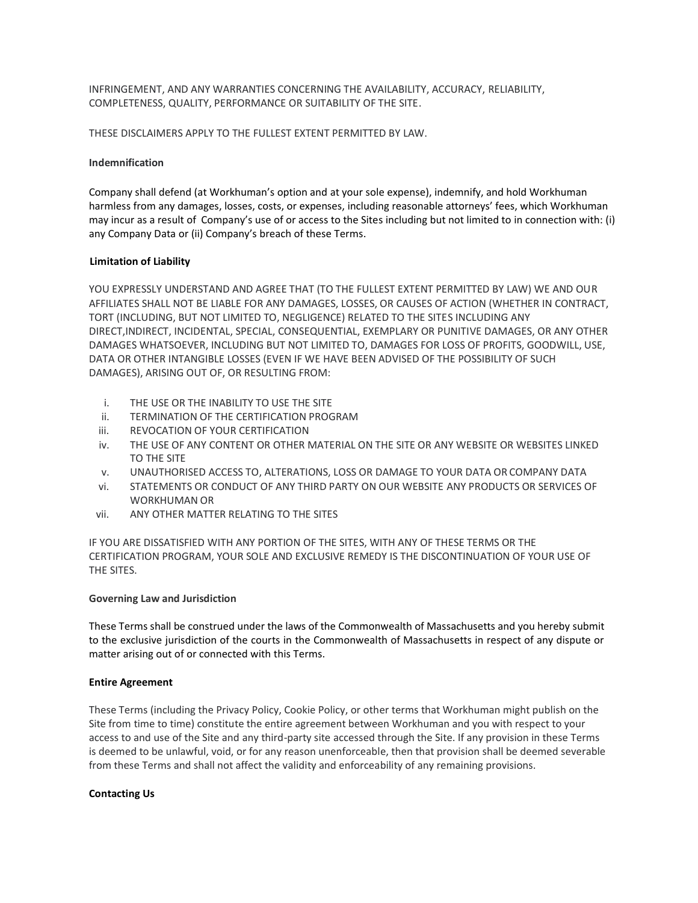INFRINGEMENT, AND ANY WARRANTIES CONCERNING THE AVAILABILITY, ACCURACY, RELIABILITY, COMPLETENESS, QUALITY, PERFORMANCE OR SUITABILITY OF THE SITE.

THESE DISCLAIMERS APPLY TO THE FULLEST EXTENT PERMITTED BY LAW.

### **Indemnification**

Company shall defend (at Workhuman's option and at your sole expense), indemnify, and hold Workhuman harmless from any damages, losses, costs, or expenses, including reasonable attorneys' fees, which Workhuman may incur as a result of Company's use of or access to the Sites including but not limited to in connection with: (i) any Company Data or (ii) Company's breach of these Terms.

## **Limitation of Liability**

YOU EXPRESSLY UNDERSTAND AND AGREE THAT (TO THE FULLEST EXTENT PERMITTED BY LAW) WE AND OUR AFFILIATES SHALL NOT BE LIABLE FOR ANY DAMAGES, LOSSES, OR CAUSES OF ACTION (WHETHER IN CONTRACT, TORT (INCLUDING, BUT NOT LIMITED TO, NEGLIGENCE) RELATED TO THE SITES INCLUDING ANY DIRECT,INDIRECT, INCIDENTAL, SPECIAL, CONSEQUENTIAL, EXEMPLARY OR PUNITIVE DAMAGES, OR ANY OTHER DAMAGES WHATSOEVER, INCLUDING BUT NOT LIMITED TO, DAMAGES FOR LOSS OF PROFITS, GOODWILL, USE, DATA OR OTHER INTANGIBLE LOSSES (EVEN IF WE HAVE BEEN ADVISED OF THE POSSIBILITY OF SUCH DAMAGES), ARISING OUT OF, OR RESULTING FROM:

- i. THE USE OR THE INABILITY TO USE THE SITE
- ii. TERMINATION OF THE CERTIFICATION PROGRAM
- iii. REVOCATION OF YOUR CERTIFICATION
- iv. THE USE OF ANY CONTENT OR OTHER MATERIAL ON THE SITE OR ANY WEBSITE OR WEBSITES LINKED TO THE SITE
- v. UNAUTHORISED ACCESS TO, ALTERATIONS, LOSS OR DAMAGE TO YOUR DATA OR COMPANY DATA
- vi. STATEMENTS OR CONDUCT OF ANY THIRD PARTY ON OUR WEBSITE ANY PRODUCTS OR SERVICES OF WORKHUMAN OR
- vii. ANY OTHER MATTER RELATING TO THE SITES

IF YOU ARE DISSATISFIED WITH ANY PORTION OF THE SITES, WITH ANY OF THESE TERMS OR THE CERTIFICATION PROGRAM, YOUR SOLE AND EXCLUSIVE REMEDY IS THE DISCONTINUATION OF YOUR USE OF THE SITES.

#### **Governing Law and Jurisdiction**

These Terms shall be construed under the laws of the Commonwealth of Massachusetts and you hereby submit to the exclusive jurisdiction of the courts in the Commonwealth of Massachusetts in respect of any dispute or matter arising out of or connected with this Terms.

#### **Entire Agreement**

These Terms (including the Privacy Policy, Cookie Policy, or other terms that Workhuman might publish on the Site from time to time) constitute the entire agreement between Workhuman and you with respect to your access to and use of the Site and any third-party site accessed through the Site. If any provision in these Terms is deemed to be unlawful, void, or for any reason unenforceable, then that provision shall be deemed severable from these Terms and shall not affect the validity and enforceability of any remaining provisions.

#### **Contacting Us**